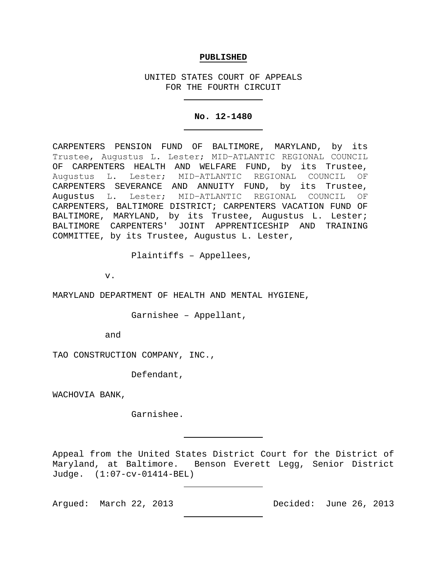## **PUBLISHED**

UNITED STATES COURT OF APPEALS FOR THE FOURTH CIRCUIT

## **No. 12-1480**

CARPENTERS PENSION FUND OF BALTIMORE, MARYLAND, by its Trustee, Augustus L. Lester; MID−ATLANTIC REGIONAL COUNCIL OF CARPENTERS HEALTH AND WELFARE FUND, by its Trustee, Augustus L. Lester; MID−ATLANTIC REGIONAL COUNCIL OF CARPENTERS SEVERANCE AND ANNUITY FUND, by its Trustee,<br>Augustus L. Lester; MID-ATLANTIC REGIONAL COUNCIL OF Lester; MID-ATLANTIC REGIONAL COUNCIL OF CARPENTERS, BALTIMORE DISTRICT; CARPENTERS VACATION FUND OF BALTIMORE, MARYLAND, by its Trustee, Augustus L. Lester; BALTIMORE CARPENTERS' JOINT APPRENTICESHIP AND TRAINING COMMITTEE, by its Trustee, Augustus L. Lester,

Plaintiffs – Appellees,

v.

MARYLAND DEPARTMENT OF HEALTH AND MENTAL HYGIENE,

Garnishee – Appellant,

and

TAO CONSTRUCTION COMPANY, INC.,

Defendant,

WACHOVIA BANK,

Garnishee.

Appeal from the United States District Court for the District of Maryland, at Baltimore. Benson Everett Legg, Senior District Judge. (1:07-cv-01414-BEL)

Argued: March 22, 2013 Decided: June 26, 2013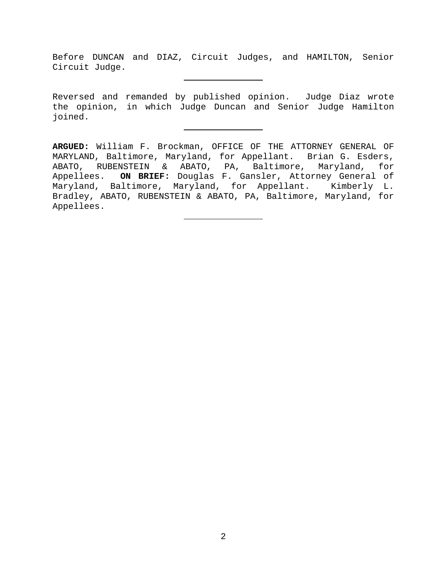Before DUNCAN and DIAZ, Circuit Judges, and HAMILTON, Senior Circuit Judge.

Reversed and remanded by published opinion. Judge Diaz wrote the opinion, in which Judge Duncan and Senior Judge Hamilton joined.

**ARGUED:** William F. Brockman, OFFICE OF THE ATTORNEY GENERAL OF MARYLAND, Baltimore, Maryland, for Appellant. Brian G. Esders, ABATO, RUBENSTEIN & ABATO, PA, Baltimore, Maryland, for Appellees. **ON BRIEF:** Douglas F. Gansler, Attorney General of Maryland, Baltimore, Maryland, for Appellant. Kimberly L. Bradley, ABATO, RUBENSTEIN & ABATO, PA, Baltimore, Maryland, for Appellees.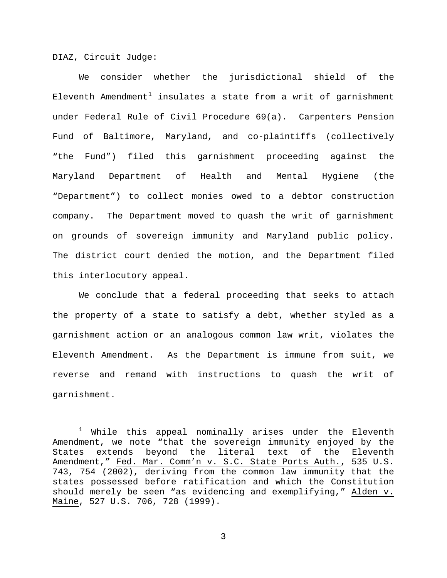DIAZ, Circuit Judge:

We consider whether the jurisdictional shield of the Eleventh Amendment<sup>[1](#page-2-0)</sup> insulates a state from a writ of garnishment under Federal Rule of Civil Procedure 69(a). Carpenters Pension Fund of Baltimore, Maryland, and co-plaintiffs (collectively "the Fund") filed this garnishment proceeding against the Maryland Department of Health and Mental Hygiene (the "Department") to collect monies owed to a debtor construction company. The Department moved to quash the writ of garnishment on grounds of sovereign immunity and Maryland public policy. The district court denied the motion, and the Department filed this interlocutory appeal.

We conclude that a federal proceeding that seeks to attach the property of a state to satisfy a debt, whether styled as a garnishment action or an analogous common law writ, violates the Eleventh Amendment. As the Department is immune from suit, we reverse and remand with instructions to quash the writ of garnishment.

<span id="page-2-0"></span> $1$  While this appeal nominally arises under the Eleventh Amendment, we note "that the sovereign immunity enjoyed by the States extends beyond the literal text of the Eleventh Amendment," Fed. Mar. Comm'n v. S.C. State Ports Auth., 535 U.S. 743, 754 (2002), deriving from the common law immunity that the states possessed before ratification and which the Constitution should merely be seen "as evidencing and exemplifying," Alden v. Maine, 527 U.S. 706, 728 (1999).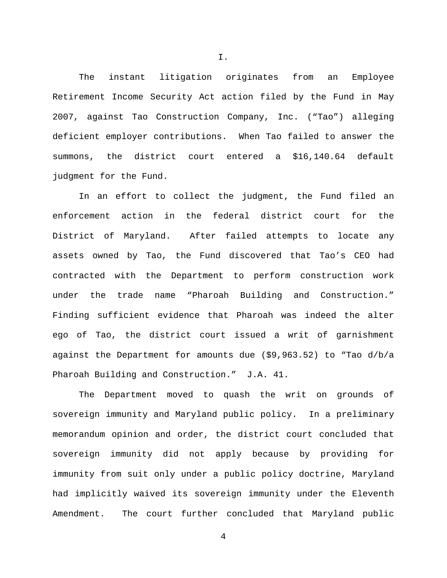The instant litigation originates from an Employee Retirement Income Security Act action filed by the Fund in May 2007, against Tao Construction Company, Inc. ("Tao") alleging deficient employer contributions. When Tao failed to answer the summons, the district court entered a \$16,140.64 default judgment for the Fund.

In an effort to collect the judgment, the Fund filed an enforcement action in the federal district court for the District of Maryland. After failed attempts to locate any assets owned by Tao, the Fund discovered that Tao's CEO had contracted with the Department to perform construction work under the trade name "Pharoah Building and Construction." Finding sufficient evidence that Pharoah was indeed the alter ego of Tao, the district court issued a writ of garnishment against the Department for amounts due (\$9,963.52) to "Tao d/b/a Pharoah Building and Construction." J.A. 41.

The Department moved to quash the writ on grounds of sovereign immunity and Maryland public policy. In a preliminary memorandum opinion and order, the district court concluded that sovereign immunity did not apply because by providing for immunity from suit only under a public policy doctrine, Maryland had implicitly waived its sovereign immunity under the Eleventh Amendment. The court further concluded that Maryland public

I.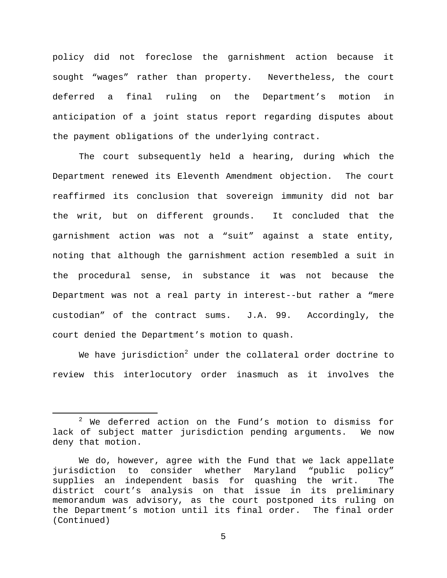policy did not foreclose the garnishment action because it sought "wages" rather than property. Nevertheless, the court deferred a final ruling on the Department's motion in anticipation of a joint status report regarding disputes about the payment obligations of the underlying contract.

The court subsequently held a hearing, during which the Department renewed its Eleventh Amendment objection. The court reaffirmed its conclusion that sovereign immunity did not bar the writ, but on different grounds. It concluded that the garnishment action was not a "suit" against a state entity, noting that although the garnishment action resembled a suit in the procedural sense, in substance it was not because the Department was not a real party in interest--but rather a "mere custodian" of the contract sums. J.A. 99. Accordingly, the court denied the Department's motion to quash.

We have jurisdiction<sup>[2](#page-4-0)</sup> under the collateral order doctrine to review this interlocutory order inasmuch as it involves the

<span id="page-4-0"></span> $2$  We deferred action on the Fund's motion to dismiss for lack of subject matter jurisdiction pending arguments. We now deny that motion.

We do, however, agree with the Fund that we lack appellate jurisdiction to consider whether Maryland "public policy"<br>supplies an independent basis for quashing the writ. The supplies an independent basis for quashing the writ. district court's analysis on that issue in its preliminary memorandum was advisory, as the court postponed its ruling on the Department's motion until its final order. The final order (Continued)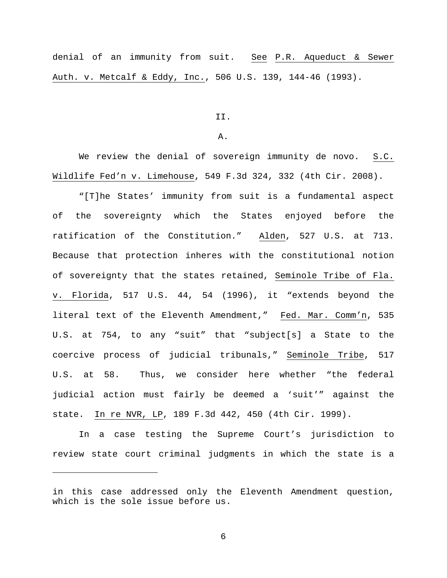denial of an immunity from suit. See P.R. Aqueduct & Sewer Auth. v. Metcalf & Eddy, Inc., 506 U.S. 139, 144-46 (1993).

II.

A.

We review the denial of sovereign immunity de novo. S.C. Wildlife Fed'n v. Limehouse, 549 F.3d 324, 332 (4th Cir. 2008).

"[T]he States' immunity from suit is a fundamental aspect of the sovereignty which the States enjoyed before the ratification of the Constitution." Alden, 527 U.S. at 713. Because that protection inheres with the constitutional notion of sovereignty that the states retained, Seminole Tribe of Fla. v. Florida, 517 U.S. 44, 54 (1996), it "extends beyond the literal text of the Eleventh Amendment," Fed. Mar. Comm'n, 535 U.S. at 754, to any "suit" that "subject[s] a State to the coercive process of judicial tribunals," Seminole Tribe, 517 U.S. at 58. Thus, we consider here whether "the federal judicial action must fairly be deemed a 'suit'" against the state. In re NVR, LP, 189 F.3d 442, 450 (4th Cir. 1999).

In a case testing the Supreme Court's jurisdiction to review state court criminal judgments in which the state is a

Ĩ.

in this case addressed only the Eleventh Amendment question, which is the sole issue before us.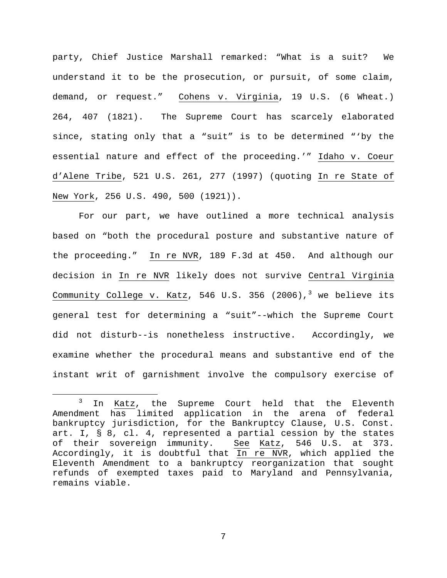party, Chief Justice Marshall remarked: "What is a suit? We understand it to be the prosecution, or pursuit, of some claim, demand, or request." Cohens v. Virginia, 19 U.S. (6 Wheat.) 264, 407 (1821). The Supreme Court has scarcely elaborated since, stating only that a "suit" is to be determined "'by the essential nature and effect of the proceeding.'" Idaho v. Coeur d'Alene Tribe, 521 U.S. 261, 277 (1997) (quoting In re State of New York, 256 U.S. 490, 500 (1921)).

For our part, we have outlined a more technical analysis based on "both the procedural posture and substantive nature of the proceeding." In re NVR, 189 F.3d at 450. And although our decision in In re NVR likely does not survive Central Virginia Community College v. Katz, 546 U.S. [3](#page-6-0)56 (2006),<sup>3</sup> we believe its general test for determining a "suit"--which the Supreme Court did not disturb--is nonetheless instructive. Accordingly, we examine whether the procedural means and substantive end of the instant writ of garnishment involve the compulsory exercise of

<span id="page-6-0"></span><sup>&</sup>lt;sup>3</sup> In Katz, the Supreme Court held that the Eleventh Amendment has limited application in the arena of federal bankruptcy jurisdiction, for the Bankruptcy Clause, U.S. Const. art. I, § 8, cl. 4, represented a partial cession by the states<br>of their sovereign immunity. See Katz, 546 U.S. at 373. See Katz, 546 U.S. at 373. Accordingly, it is doubtful that In re NVR, which applied the Eleventh Amendment to a bankruptcy reorganization that sought refunds of exempted taxes paid to Maryland and Pennsylvania, remains viable.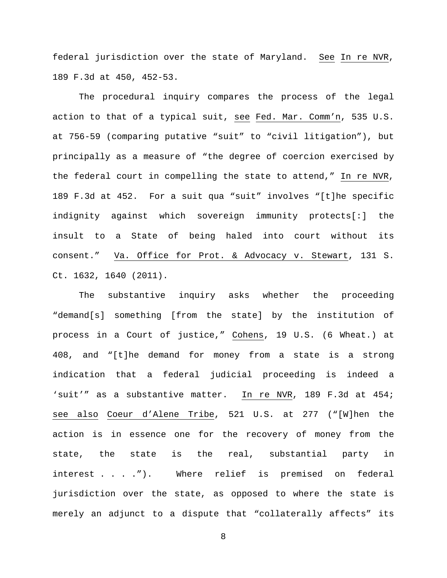federal jurisdiction over the state of Maryland. See In re NVR, 189 F.3d at 450, 452-53.

The procedural inquiry compares the process of the legal action to that of a typical suit, see Fed. Mar. Comm'n, 535 U.S. at 756-59 (comparing putative "suit" to "civil litigation"), but principally as a measure of "the degree of coercion exercised by the federal court in compelling the state to attend," In re NVR, 189 F.3d at 452. For a suit qua "suit" involves "[t]he specific indignity against which sovereign immunity protects[:] the insult to a State of being haled into court without its consent." Va. Office for Prot. & Advocacy v. Stewart, 131 S. Ct. 1632, 1640 (2011).

The substantive inquiry asks whether the proceeding "demand[s] something [from the state] by the institution of process in a Court of justice," Cohens, 19 U.S. (6 Wheat.) at 408, and "[t]he demand for money from a state is a strong indication that a federal judicial proceeding is indeed a 'suit'" as a substantive matter. In re NVR, 189 F.3d at 454; see also Coeur d'Alene Tribe, 521 U.S. at 277 ("[W]hen the action is in essence one for the recovery of money from the state, the state is the real, substantial party in interest . . . ."). Where relief is premised on federal jurisdiction over the state, as opposed to where the state is merely an adjunct to a dispute that "collaterally affects" its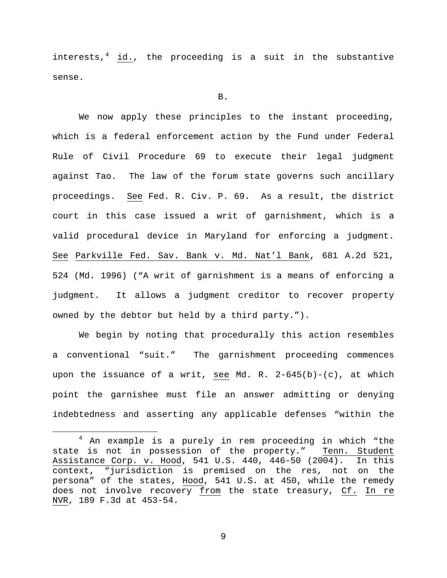interests, $4$  id., the proceeding is a suit in the substantive sense.

## B.

We now apply these principles to the instant proceeding, which is a federal enforcement action by the Fund under Federal Rule of Civil Procedure 69 to execute their legal judgment against Tao. The law of the forum state governs such ancillary proceedings. See Fed. R. Civ. P. 69. As a result, the district court in this case issued a writ of garnishment, which is a valid procedural device in Maryland for enforcing a judgment. See Parkville Fed. Sav. Bank v. Md. Nat'l Bank, 681 A.2d 521, 524 (Md. 1996) ("A writ of garnishment is a means of enforcing a judgment. It allows a judgment creditor to recover property owned by the debtor but held by a third party.").

We begin by noting that procedurally this action resembles a conventional "suit." The garnishment proceeding commences upon the issuance of a writ, see Md. R.  $2-645(b)-(c)$ , at which point the garnishee must file an answer admitting or denying indebtedness and asserting any applicable defenses "within the

<span id="page-8-0"></span> <sup>4</sup> An example is a purely in rem proceeding in which "the state is not in possession of the property." Tenn. Student Assistance Corp. v. Hood, 541 U.S. 440, 446-50 (2004). In this context, "jurisdiction is premised on the res, not on the persona" of the states, Hood, 541 U.S. at 450, while the remedy does not involve recovery from the state treasury, Cf. In re NVR, 189 F.3d at 453-54.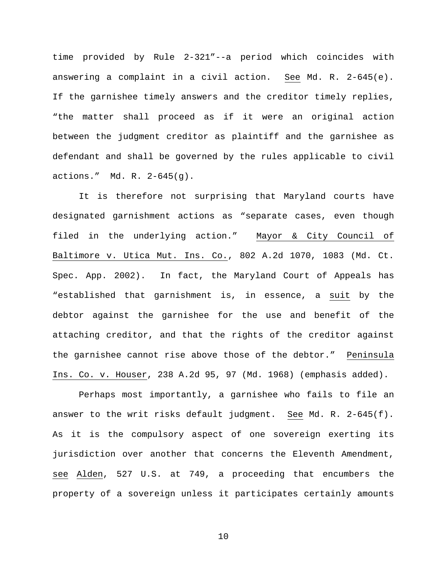time provided by Rule 2-321"--a period which coincides with answering a complaint in a civil action. See Md. R. 2-645(e). If the garnishee timely answers and the creditor timely replies, "the matter shall proceed as if it were an original action between the judgment creditor as plaintiff and the garnishee as defendant and shall be governed by the rules applicable to civil actions." Md. R. 2-645(g).

It is therefore not surprising that Maryland courts have designated garnishment actions as "separate cases, even though filed in the underlying action." Mayor & City Council of Baltimore v. Utica Mut. Ins. Co., 802 A.2d 1070, 1083 (Md. Ct. Spec. App. 2002). In fact, the Maryland Court of Appeals has "established that garnishment is, in essence, a suit by the debtor against the garnishee for the use and benefit of the attaching creditor, and that the rights of the creditor against the garnishee cannot rise above those of the debtor." Peninsula Ins. Co. v. Houser, 238 A.2d 95, 97 (Md. 1968) (emphasis added).

Perhaps most importantly, a garnishee who fails to file an answer to the writ risks default judgment. See Md. R. 2-645(f). As it is the compulsory aspect of one sovereign exerting its jurisdiction over another that concerns the Eleventh Amendment, see Alden, 527 U.S. at 749, a proceeding that encumbers the property of a sovereign unless it participates certainly amounts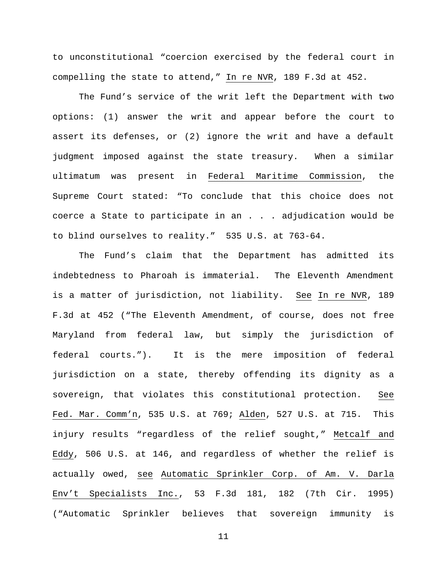to unconstitutional "coercion exercised by the federal court in compelling the state to attend," In re NVR, 189 F.3d at 452.

The Fund's service of the writ left the Department with two options: (1) answer the writ and appear before the court to assert its defenses, or (2) ignore the writ and have a default judgment imposed against the state treasury. When a similar ultimatum was present in Federal Maritime Commission, the Supreme Court stated: "To conclude that this choice does not coerce a State to participate in an . . . adjudication would be to blind ourselves to reality." 535 U.S. at 763-64.

The Fund's claim that the Department has admitted its indebtedness to Pharoah is immaterial. The Eleventh Amendment is a matter of jurisdiction, not liability. See In re NVR, 189 F.3d at 452 ("The Eleventh Amendment, of course, does not free Maryland from federal law, but simply the jurisdiction of federal courts."). It is the mere imposition of federal jurisdiction on a state, thereby offending its dignity as a sovereign, that violates this constitutional protection. See Fed. Mar. Comm'n, 535 U.S. at 769; Alden, 527 U.S. at 715. This injury results "regardless of the relief sought," Metcalf and Eddy, 506 U.S. at 146, and regardless of whether the relief is actually owed, see Automatic Sprinkler Corp. of Am. V. Darla Env't Specialists Inc., 53 F.3d 181, 182 (7th Cir. 1995) ("Automatic Sprinkler believes that sovereign immunity is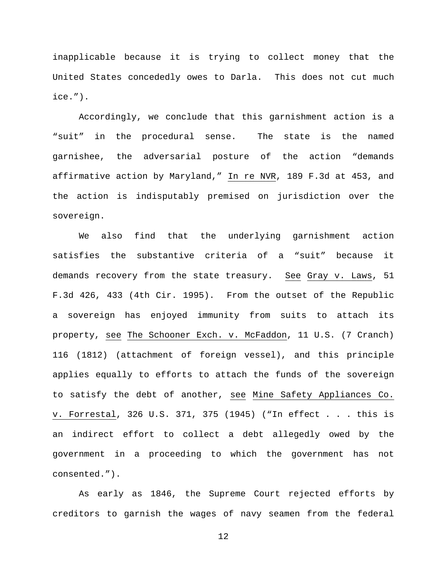inapplicable because it is trying to collect money that the United States concededly owes to Darla. This does not cut much ice.").

Accordingly, we conclude that this garnishment action is a "suit" in the procedural sense. The state is the named garnishee, the adversarial posture of the action "demands affirmative action by Maryland," In re NVR, 189 F.3d at 453, and the action is indisputably premised on jurisdiction over the sovereign.

We also find that the underlying garnishment action satisfies the substantive criteria of a "suit" because it demands recovery from the state treasury. See Gray v. Laws, 51 F.3d 426, 433 (4th Cir. 1995). From the outset of the Republic a sovereign has enjoyed immunity from suits to attach its property, see The Schooner Exch. v. McFaddon, 11 U.S. (7 Cranch) 116 (1812) (attachment of foreign vessel), and this principle applies equally to efforts to attach the funds of the sovereign to satisfy the debt of another, see Mine Safety Appliances Co. v. Forrestal, 326 U.S. 371, 375 (1945) ("In effect . . . this is an indirect effort to collect a debt allegedly owed by the government in a proceeding to which the government has not consented.").

As early as 1846, the Supreme Court rejected efforts by creditors to garnish the wages of navy seamen from the federal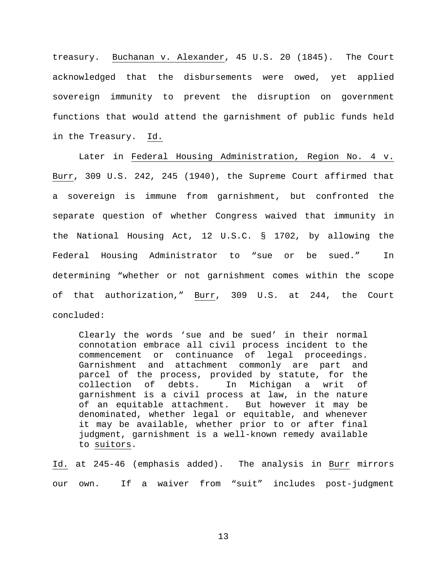treasury. Buchanan v. Alexander, 45 U.S. 20 (1845). The Court acknowledged that the disbursements were owed, yet applied sovereign immunity to prevent the disruption on government functions that would attend the garnishment of public funds held in the Treasury. Id.

Later in Federal Housing Administration, Region No. 4 v. Burr, 309 U.S. 242, 245 (1940), the Supreme Court affirmed that a sovereign is immune from garnishment, but confronted the separate question of whether Congress waived that immunity in the National Housing Act, 12 U.S.C. § 1702, by allowing the Federal Housing Administrator to "sue or be sued." In determining "whether or not garnishment comes within the scope of that authorization," Burr, 309 U.S. at 244, the Court concluded:

Clearly the words 'sue and be sued' in their normal connotation embrace all civil process incident to the commencement or continuance of legal proceedings. Garnishment and attachment commonly are part and parcel of the process, provided by statute, for the<br>collection of debts. In Michigan a writ of collection of debts. In Michigan a writ of garnishment is a civil process at law, in the nature of an equitable attachment. But however it may be denominated, whether legal or equitable, and whenever it may be available, whether prior to or after final judgment, garnishment is a well-known remedy available to suitors.

Id. at 245-46 (emphasis added). The analysis in Burr mirrors our own. If a waiver from "suit" includes post-judgment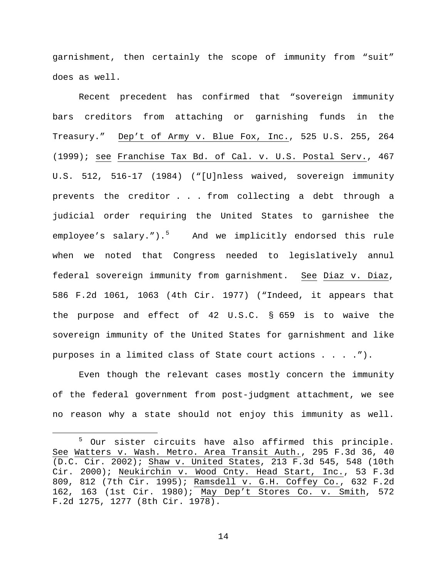garnishment, then certainly the scope of immunity from "suit" does as well.

Recent precedent has confirmed that "sovereign immunity bars creditors from attaching or garnishing funds in the Treasury." Dep't of Army v. Blue Fox, Inc., 525 U.S. 255, 264 (1999); see Franchise Tax Bd. of Cal. v. U.S. Postal Serv., 467 U.S. 512, 516-17 (1984) ("[U]nless waived, sovereign immunity prevents the creditor . . . from collecting a debt through a judicial order requiring the United States to garnishee the employee's salary."). $5$  And we implicitly endorsed this rule when we noted that Congress needed to legislatively annul federal sovereign immunity from garnishment. See Diaz v. Diaz, 586 F.2d 1061, 1063 (4th Cir. 1977) ("Indeed, it appears that the purpose and effect of 42 U.S.C. § 659 is to waive the sovereign immunity of the United States for garnishment and like purposes in a limited class of State court actions . . . .").

Even though the relevant cases mostly concern the immunity of the federal government from post-judgment attachment, we see no reason why a state should not enjoy this immunity as well.

<span id="page-13-0"></span> <sup>5</sup> Our sister circuits have also affirmed this principle. See Watters v. Wash. Metro. Area Transit Auth., 295 F.3d 36, 40 (D.C. Cir. 2002); Shaw v. United States, 213 F.3d 545, 548 (10th Cir. 2000); Neukirchin v. Wood Cnty. Head Start, Inc., 53 F.3d 809, 812 (7th Cir. 1995); Ramsdell v. G.H. Coffey Co., 632 F.2d 162, 163 (1st Cir. 1980); May Dep't Stores Co. v. Smith, 572 F.2d 1275, 1277 (8th Cir. 1978).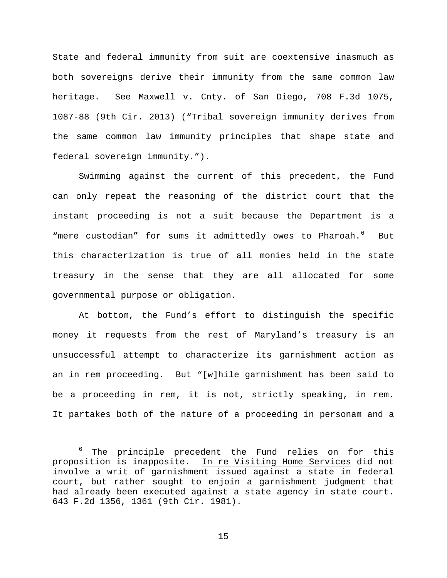State and federal immunity from suit are coextensive inasmuch as both sovereigns derive their immunity from the same common law heritage. See Maxwell v. Cnty. of San Diego, 708 F.3d 1075, 1087-88 (9th Cir. 2013) ("Tribal sovereign immunity derives from the same common law immunity principles that shape state and federal sovereign immunity.").

Swimming against the current of this precedent, the Fund can only repeat the reasoning of the district court that the instant proceeding is not a suit because the Department is a "mere custodian" for sums it admittedly owes to Pharoah.<sup>[6](#page-14-0)</sup> But this characterization is true of all monies held in the state treasury in the sense that they are all allocated for some governmental purpose or obligation.

At bottom, the Fund's effort to distinguish the specific money it requests from the rest of Maryland's treasury is an unsuccessful attempt to characterize its garnishment action as an in rem proceeding. But "[w]hile garnishment has been said to be a proceeding in rem, it is not, strictly speaking, in rem. It partakes both of the nature of a proceeding in personam and a

<span id="page-14-0"></span><sup>&</sup>lt;sup>6</sup> The principle precedent the Fund relies on for this proposition is inapposite. In re Visiting Home Services did not In re Visiting Home Services did not involve a writ of garnishment issued against a state in federal court, but rather sought to enjoin a garnishment judgment that had already been executed against a state agency in state court. 643 F.2d 1356, 1361 (9th Cir. 1981).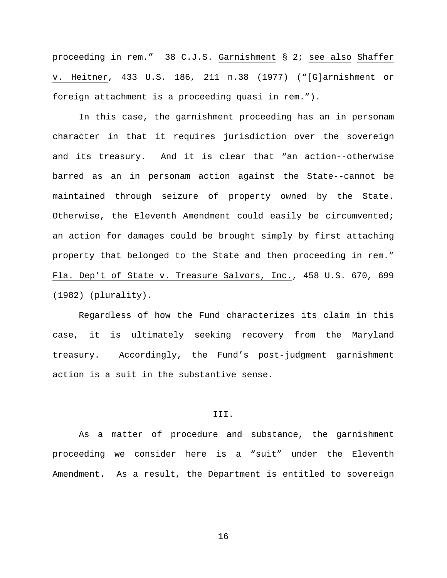proceeding in rem." 38 C.J.S. Garnishment § 2; see also Shaffer v. Heitner, 433 U.S. 186, 211 n.38 (1977) ("[G]arnishment or foreign attachment is a proceeding quasi in rem.").

In this case, the garnishment proceeding has an in personam character in that it requires jurisdiction over the sovereign and its treasury. And it is clear that "an action--otherwise barred as an in personam action against the State--cannot be maintained through seizure of property owned by the State. Otherwise, the Eleventh Amendment could easily be circumvented; an action for damages could be brought simply by first attaching property that belonged to the State and then proceeding in rem." Fla. Dep't of State v. Treasure Salvors, Inc., 458 U.S. 670, 699 (1982) (plurality).

Regardless of how the Fund characterizes its claim in this case, it is ultimately seeking recovery from the Maryland treasury. Accordingly, the Fund's post-judgment garnishment action is a suit in the substantive sense.

## III.

As a matter of procedure and substance, the garnishment proceeding we consider here is a "suit" under the Eleventh Amendment. As a result, the Department is entitled to sovereign